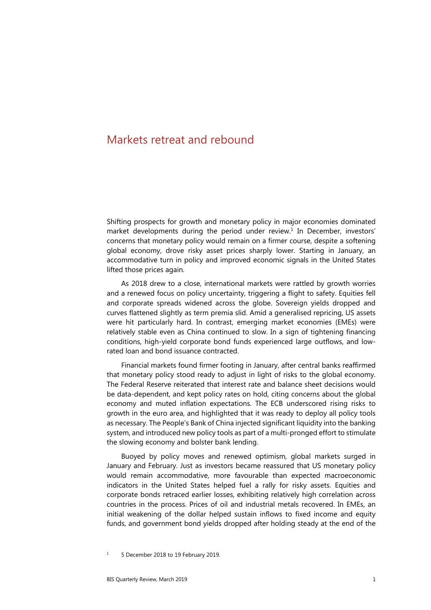# Markets retreat and rebound

Shifting prospects for growth and monetary policy in major economies dominated market developments during the period under review.<sup>1</sup> In December, investors' concerns that monetary policy would remain on a firmer course, despite a softening global economy, drove risky asset prices sharply lower. Starting in January, an accommodative turn in policy and improved economic signals in the United States lifted those prices again.

As 2018 drew to a close, international markets were rattled by growth worries and a renewed focus on policy uncertainty, triggering a flight to safety. Equities fell and corporate spreads widened across the globe. Sovereign yields dropped and curves flattened slightly as term premia slid. Amid a generalised repricing, US assets were hit particularly hard. In contrast, emerging market economies (EMEs) were relatively stable even as China continued to slow. In a sign of tightening financing conditions, high-yield corporate bond funds experienced large outflows, and lowrated loan and bond issuance contracted.

Financial markets found firmer footing in January, after central banks reaffirmed that monetary policy stood ready to adjust in light of risks to the global economy. The Federal Reserve reiterated that interest rate and balance sheet decisions would be data-dependent, and kept policy rates on hold, citing concerns about the global economy and muted inflation expectations. The ECB underscored rising risks to growth in the euro area, and highlighted that it was ready to deploy all policy tools as necessary. The People's Bank of China injected significant liquidity into the banking system, and introduced new policy tools as part of a multi-pronged effort to stimulate the slowing economy and bolster bank lending.

Buoyed by policy moves and renewed optimism, global markets surged in January and February. Just as investors became reassured that US monetary policy would remain accommodative, more favourable than expected macroeconomic indicators in the United States helped fuel a rally for risky assets. Equities and corporate bonds retraced earlier losses, exhibiting relatively high correlation across countries in the process. Prices of oil and industrial metals recovered. In EMEs, an initial weakening of the dollar helped sustain inflows to fixed income and equity funds, and government bond yields dropped after holding steady at the end of the

<span id="page-0-0"></span><sup>1</sup> 5 December 2018 to 19 February 2019.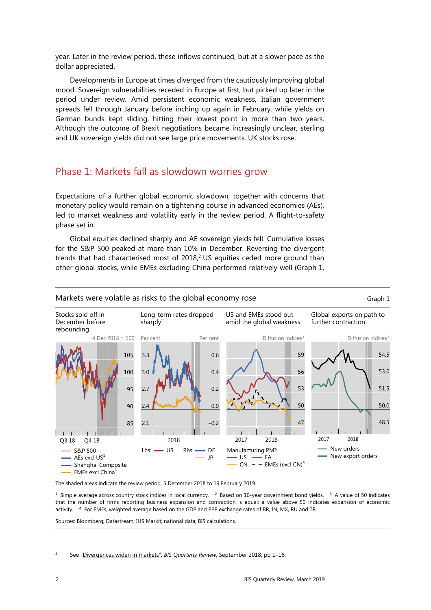year. Later in the review period, these inflows continued, but at a slower pace as the dollar appreciated.

Developments in Europe at times diverged from the cautiously improving global mood. Sovereign vulnerabilities receded in Europe at first, but picked up later in the period under review. Amid persistent economic weakness, Italian government spreads fell through January before inching up again in February, while yields on German bunds kept sliding, hitting their lowest point in more than two years. Although the outcome of Brexit negotiations became increasingly unclear, sterling and UK sovereign yields did not see large price movements. UK stocks rose.

# Phase 1: Markets fall as slowdown worries grow

Expectations of a further global economic slowdown, together with concerns that monetary policy would remain on a tightening course in advanced economies (AEs), led to market weakness and volatility early in the review period. A flight-to-safety phase set in.

Global equities declined sharply and AE sovereign yields fell. Cumulative losses for the S&P 500 peaked at more than 10% in December. Reversing the divergent trends that had characterised most of  $2018<sup>2</sup>$ , US equities ceded more ground than other global stocks, while EMEs excluding China performed relatively well (Graph 1,



The shaded areas indicate the review period, 5 December 2018 to 19 February 2019.

<sup>1</sup> Simple average across country stock indices in local currency. <sup>2</sup> Based on 10-year government bond yields. <sup>3</sup> A value of 50 indicates that the number of firms reporting business expansion and contraction is equal; a value above 50 indicates expansion of economic activity. 4 For EMEs, weighted average based on the GDP and PPP exchange rates of BR, IN, MX, RU and TR.

Sources: Bloomberg; Datastream; IHS Markit; national data; BIS calculations.

<span id="page-1-0"></span>2 See ["Divergences widen in markets"](https://www.bis.org/publ/qtrpdf/r_qt1809a.htm), *BIS Quarterly Review*, September 2018, pp 1–16.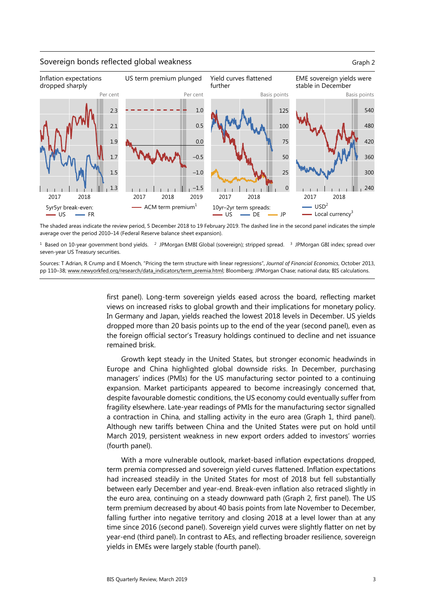#### Sovereign bonds reflected global weakness Graph 2



The shaded areas indicate the review period, 5 December 2018 to 19 February 2019. The dashed line in the second panel indicates the simple average over the period 2010–14 (Federal Reserve balance sheet expansion).

<sup>1</sup> Based on 10-year government bond yields. <sup>2</sup> JPMorgan EMBI Global (sovereign); stripped spread. <sup>3</sup> JPMorgan GBI index; spread over seven-year US Treasury securities.

Sources: T Adrian, R Crump and E Moench, "Pricing the term structure with linear regressions", *Journal of Financial Economics*, October 2013, pp 110-38[; www.newyorkfed.org/research/data\\_indicators/term\\_premia.html;](http://www.newyorkfed.org/research/data_indicators/term_premia.html) Bloomberg; JPMorgan Chase; national data; BIS calculations.

> first panel). Long-term sovereign yields eased across the board, reflecting market views on increased risks to global growth and their implications for monetary policy. In Germany and Japan, yields reached the lowest 2018 levels in December. US yields dropped more than 20 basis points up to the end of the year (second panel), even as the foreign official sector's Treasury holdings continued to decline and net issuance remained brisk.

> Growth kept steady in the United States, but stronger economic headwinds in Europe and China highlighted global downside risks. In December, purchasing managers' indices (PMIs) for the US manufacturing sector pointed to a continuing expansion. Market participants appeared to become increasingly concerned that, despite favourable domestic conditions, the US economy could eventually suffer from fragility elsewhere. Late-year readings of PMIs for the manufacturing sector signalled a contraction in China, and stalling activity in the euro area (Graph 1, third panel). Although new tariffs between China and the United States were put on hold until March 2019, persistent weakness in new export orders added to investors' worries (fourth panel).

> With a more vulnerable outlook, market-based inflation expectations dropped, term premia compressed and sovereign yield curves flattened. Inflation expectations had increased steadily in the United States for most of 2018 but fell substantially between early December and year-end. Break-even inflation also retraced slightly in the euro area, continuing on a steady downward path (Graph 2, first panel). The US term premium decreased by about 40 basis points from late November to December, falling further into negative territory and closing 2018 at a level lower than at any time since 2016 (second panel). Sovereign yield curves were slightly flatter on net by year-end (third panel). In contrast to AEs, and reflecting broader resilience, sovereign yields in EMEs were largely stable (fourth panel).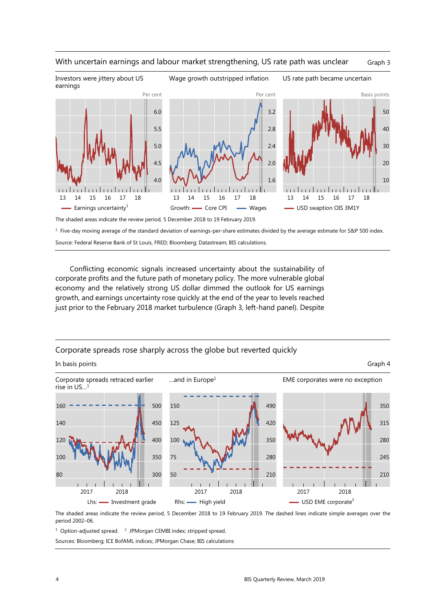

### With uncertain earnings and labour market strengthening, US rate path was unclear Graph 3

The shaded areas indicate the review period, 5 December 2018 to 19 February 2019.

<sup>1</sup> Five-day moving average of the standard deviation of earnings-per-share estimates divided by the average estimate for S&P 500 index. Source: Federal Reserve Bank of St Louis, FRED; Bloomberg; Datastream; BIS calculations.

Conflicting economic signals increased uncertainty about the sustainability of corporate profits and the future path of monetary policy. The more vulnerable global economy and the relatively strong US dollar dimmed the outlook for US earnings growth, and earnings uncertainty rose quickly at the end of the year to levels reached just prior to the February 2018 market turbulence (Graph 3, left-hand panel). Despite

## Corporate spreads rose sharply across the globe but reverted quickly



The shaded areas indicate the review period, 5 December 2018 to 19 February 2019. The dashed lines indicate simple averages over the period 2002–06.

<sup>1</sup> Option-adjusted spread. <sup>2</sup> JPMorgan CEMBI index; stripped spread.

Sources: Bloomberg; ICE BofAML indices; JPMorgan Chase; BIS calculations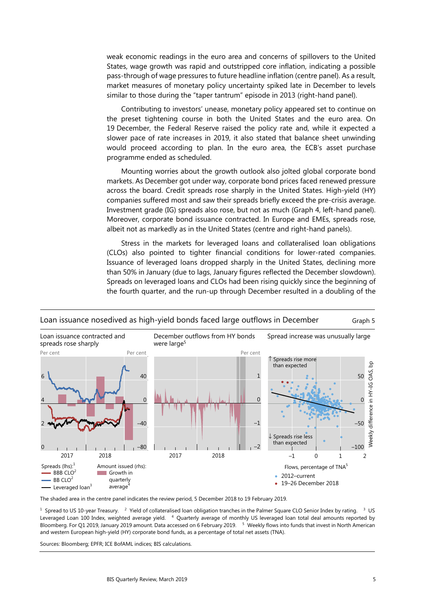weak economic readings in the euro area and concerns of spillovers to the United States, wage growth was rapid and outstripped core inflation, indicating a possible pass-through of wage pressures to future headline inflation (centre panel). As a result, market measures of monetary policy uncertainty spiked late in December to levels similar to those during the "taper tantrum" episode in 2013 (right-hand panel).

Contributing to investors' unease, monetary policy appeared set to continue on the preset tightening course in both the United States and the euro area. On 19 December, the Federal Reserve raised the policy rate and, while it expected a slower pace of rate increases in 2019, it also stated that balance sheet unwinding would proceed according to plan. In the euro area, the ECB's asset purchase programme ended as scheduled.

Mounting worries about the growth outlook also jolted global corporate bond markets. As December got under way, corporate bond prices faced renewed pressure across the board. Credit spreads rose sharply in the United States. High-yield (HY) companies suffered most and saw their spreads briefly exceed the pre-crisis average. Investment grade (IG) spreads also rose, but not as much (Graph 4, left-hand panel). Moreover, corporate bond issuance contracted. In Europe and EMEs, spreads rose, albeit not as markedly as in the United States (centre and right-hand panels).

Stress in the markets for leveraged loans and collateralised loan obligations (CLOs) also pointed to tighter financial conditions for lower-rated companies. Issuance of leveraged loans dropped sharply in the United States, declining more than 50% in January (due to lags, January figures reflected the December slowdown). Spreads on leveraged loans and CLOs had been rising quickly since the beginning of the fourth quarter, and the run-up through December resulted in a doubling of the



## Loan issuance nosedived as high-yield bonds faced large outflows in December Graph 5

The shaded area in the centre panel indicates the review period, 5 December 2018 to 19 February 2019.

<sup>1</sup> Spread to US 10-year Treasury. <sup>2</sup> Yield of collateralised loan obligation tranches in the Palmer Square CLO Senior Index by rating. <sup>3</sup> US Leveraged Loan 100 Index, weighted average yield. <sup>4</sup> Quarterly average of monthly US leveraged loan total deal amounts reported by Bloomberg. For Q1 2019, January 2019 amount. Data accessed on 6 February 2019. <sup>5</sup> Weekly flows into funds that invest in North American and western European high-yield (HY) corporate bond funds, as a percentage of total net assets (TNA).

Sources: Bloomberg; EPFR; ICE BofAML indices; BIS calculations.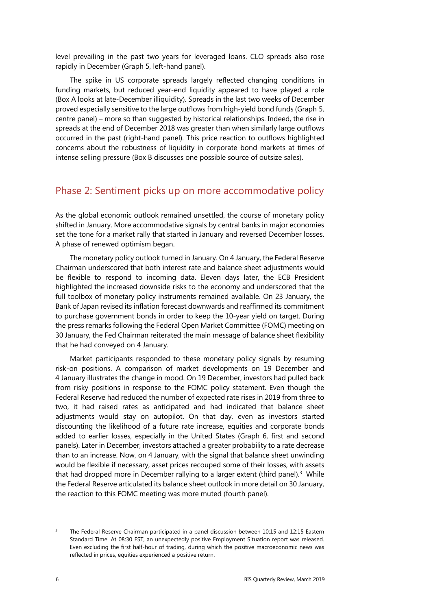level prevailing in the past two years for leveraged loans. CLO spreads also rose rapidly in December (Graph 5, left-hand panel).

The spike in US corporate spreads largely reflected changing conditions in funding markets, but reduced year-end liquidity appeared to have played a role (Box A looks at late-December illiquidity). Spreads in the last two weeks of December proved especially sensitive to the large outflows from high-yield bond funds (Graph 5, centre panel) – more so than suggested by historical relationships. Indeed, the rise in spreads at the end of December 2018 was greater than when similarly large outflows occurred in the past (right-hand panel). This price reaction to outflows highlighted concerns about the robustness of liquidity in corporate bond markets at times of intense selling pressure (Box B discusses one possible source of outsize sales).

# Phase 2: Sentiment picks up on more accommodative policy

As the global economic outlook remained unsettled, the course of monetary policy shifted in January. More accommodative signals by central banks in major economies set the tone for a market rally that started in January and reversed December losses. A phase of renewed optimism began.

The monetary policy outlook turned in January. On 4 January, the Federal Reserve Chairman underscored that both interest rate and balance sheet adjustments would be flexible to respond to incoming data. Eleven days later, the ECB President highlighted the increased downside risks to the economy and underscored that the full toolbox of monetary policy instruments remained available. On 23 January, the Bank of Japan revised its inflation forecast downwards and reaffirmed its commitment to purchase government bonds in order to keep the 10-year yield on target. During the press remarks following the Federal Open Market Committee (FOMC) meeting on 30 January, the Fed Chairman reiterated the main message of balance sheet flexibility that he had conveyed on 4 January.

Market participants responded to these monetary policy signals by resuming risk-on positions. A comparison of market developments on 19 December and 4 January illustrates the change in mood. On 19 December, investors had pulled back from risky positions in response to the FOMC policy statement. Even though the Federal Reserve had reduced the number of expected rate rises in 2019 from three to two, it had raised rates as anticipated and had indicated that balance sheet adjustments would stay on autopilot. On that day, even as investors started discounting the likelihood of a future rate increase, equities and corporate bonds added to earlier losses, especially in the United States (Graph 6, first and second panels). Later in December, investors attached a greater probability to a rate decrease than to an increase. Now, on 4 January, with the signal that balance sheet unwinding would be flexible if necessary, asset prices recouped some of their losses, with assets that had dropped more in December rallying to a larger extent (third panel). $3$  While the Federal Reserve articulated its balance sheet outlook in more detail on 30 January, the reaction to this FOMC meeting was more muted (fourth panel).

<span id="page-5-0"></span><sup>3</sup> The Federal Reserve Chairman participated in a panel discussion between 10:15 and 12:15 Eastern Standard Time. At 08:30 EST, an unexpectedly positive Employment Situation report was released. Even excluding the first half-hour of trading, during which the positive macroeconomic news was reflected in prices, equities experienced a positive return.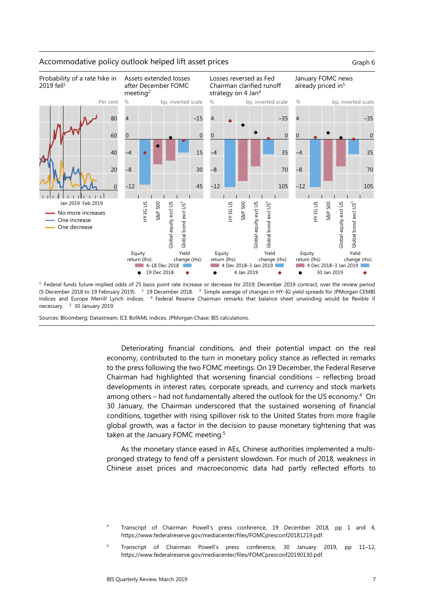

 $1$  Federal funds future-implied odds of 25 basis point rate increase or decrease for 2019; December 2019 contract; over the review period (5 December 2018 to 19 February 2019). 2 19 December 2018. 3 Simple average of changes in HY–IG yield spreads for JPMorgan CEMBI indices and Europe Merrill Lynch indices. <sup>4</sup> Federal Reserve Chairman remarks that balance sheet unwinding would be flexible if necessary. 5 30 January 2019.

Sources: Bloomberg; Datastream; ICE BofAML indices; JPMorgan Chase; BIS calculations.

Deteriorating financial conditions, and their potential impact on the real economy, contributed to the turn in monetary policy stance as reflected in remarks to the press following the two FOMC meetings. On 19 December, the Federal Reserve Chairman had highlighted that worsening financial conditions – reflecting broad developments in interest rates, corporate spreads, and currency and stock markets among others – had not fundamentally altered the outlook for the US economy[.4](#page-6-1) On 30 January, the Chairman underscored that the sustained worsening of financial conditions, together with rising spillover risk to the United States from more fragile global growth, was a factor in the decision to pause monetary tightening that was taken at the January FOMC meeting.<sup>[5](#page-6-0)</sup>

As the monetary stance eased in AEs, Chinese authorities implemented a multipronged strategy to fend off a persistent slowdown. For much of 2018, weakness in Chinese asset prices and macroeconomic data had partly reflected efforts to

## Accommodative policy outlook helped lift asset prices Graph 6 Graph 6

<span id="page-6-1"></span><sup>4</sup> Transcript of Chairman Powell's press conference, 19 December 2018, pp 1 and 4, https://www.federalreserve.gov/mediacenter/files/FOMCpresconf20181219.pdf.

<span id="page-6-0"></span><sup>5</sup> Transcript of Chairman Powell's press conference, 30 January 2019, pp 11–12, https://www.federalreserve.gov/mediacenter/files/FOMCpresconf20190130.pdf.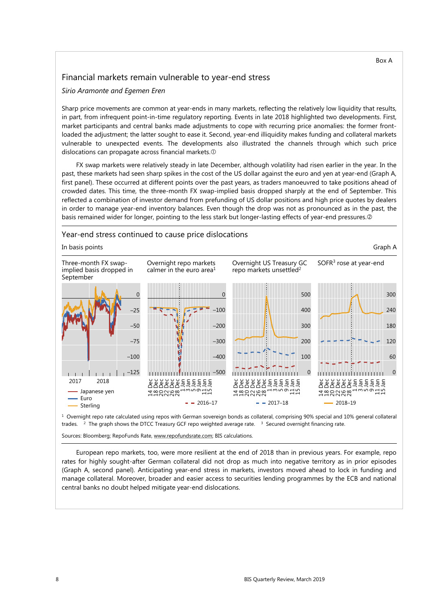## Financial markets remain vulnerable to year-end stress

#### *Sirio Aramonte and Egemen Eren*

Sharp price movements are common at year-ends in many markets, reflecting the relatively low liquidity that results, in part, from infrequent point-in-time regulatory reporting. Events in late 2018 highlighted two developments. First, market participants and central banks made adjustments to cope with recurring price anomalies: the former frontloaded the adjustment; the latter sought to ease it. Second, year-end illiquidity makes funding and collateral markets vulnerable to unexpected events. The developments also illustrated the channels through which such price dislocations can propagate across financial markets.

FX swap markets were relatively steady in late December, although volatility had risen earlier in the year. In the past, these markets had seen sharp spikes in the cost of the US dollar against the euro and yen at year-end (Graph A, first panel). These occurred at different points over the past years, as traders manoeuvred to take positions ahead of crowded dates. This time, the three-month FX swap-implied basis dropped sharply at the end of September. This reflected a combination of investor demand from prefunding of US dollar positions and high price quotes by dealers in order to manage year-end inventory balances. Even though the drop was not as pronounced as in the past, the basis remained wider for longer, pointing to the less stark but longer-lasting effects of year-end pressures.



 $1$  Overnight repo rate calculated using repos with German sovereign bonds as collateral, comprising 90% special and 10% general collateral trades. <sup>2</sup> The graph shows the DTCC Treasury GCF repo weighted average rate. <sup>3</sup> Secured overnight financing rate.

Sources: Bloomberg; RepoFunds Rate[, www.repofundsrate.com;](http://www.repofundsrate.com/) BIS calculations.

European repo markets, too, were more resilient at the end of 2018 than in previous years. For example, repo rates for highly sought-after German collateral did not drop as much into negative territory as in prior episodes (Graph A, second panel). Anticipating year-end stress in markets, investors moved ahead to lock in funding and manage collateral. Moreover, broader and easier access to securities lending programmes by the ECB and national central banks no doubt helped mitigate year-end dislocations.

Box A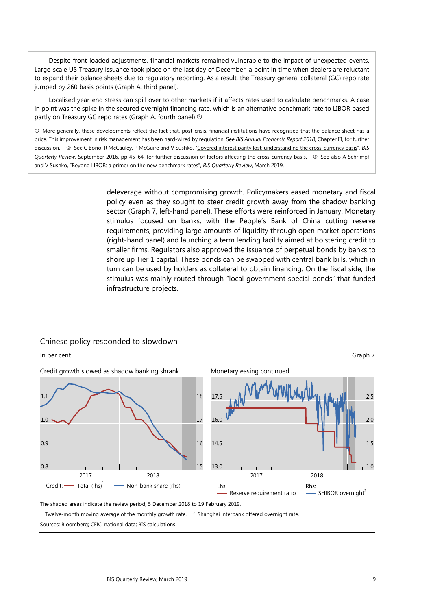Despite front-loaded adjustments, financial markets remained vulnerable to the impact of unexpected events. Large-scale US Treasury issuance took place on the last day of December, a point in time when dealers are reluctant to expand their balance sheets due to regulatory reporting. As a result, the Treasury general collateral (GC) repo rate jumped by 260 basis points (Graph A, third panel).

Localised year-end stress can spill over to other markets if it affects rates used to calculate benchmarks. A case in point was the spike in the secured overnight financing rate, which is an alternative benchmark rate to LIBOR based partly on Treasury GC repo rates (Graph A, fourth panel).

 More generally, these developments reflect the fact that, post-crisis, financial institutions have recognised that the balance sheet has a price. This improvement in risk management has been hard-wired by regulation. See *BIS Annual Economic Report 2018*[, Chapter III,](https://www.bis.org/publ/arpdf/ar2018e3.htm) for further discussion. @ See C Borio, R McCauley, P McGuire and V Sushko, ["Covered interest parity lost: understanding the cross-currency basis"](https://www.bis.org/publ/qtrpdf/r_qt1609e.htm), BIS *Quarterly Review, September 2016, pp 45–64, for further discussion of factors affecting the cross-currency basis. <sup>3</sup> See also A Schrimpf* and V Sushko, ["Beyond LIBOR: a primer on the new benchmark rates"](https://www.bis.org/publ/qtrpdf/r_qt1903e.htm), *BIS Quarterly Review*, March 2019.

> deleverage without compromising growth. Policymakers eased monetary and fiscal policy even as they sought to steer credit growth away from the shadow banking sector (Graph 7, left-hand panel). These efforts were reinforced in January. Monetary stimulus focused on banks, with the People's Bank of China cutting reserve requirements, providing large amounts of liquidity through open market operations (right-hand panel) and launching a term lending facility aimed at bolstering credit to smaller firms. Regulators also approved the issuance of perpetual bonds by banks to shore up Tier 1 capital. These bonds can be swapped with central bank bills, which in turn can be used by holders as collateral to obtain financing. On the fiscal side, the stimulus was mainly routed through "local government special bonds" that funded infrastructure projects.



#### Chinese policy responded to slowdown

The shaded areas indicate the review period, 5 December 2018 to 19 February 2019.

<sup>1</sup> Twelve-month moving average of the monthly growth rate. <sup>2</sup> Shanghai interbank offered overnight rate. Sources: Bloomberg; CEIC; national data; BIS calculations.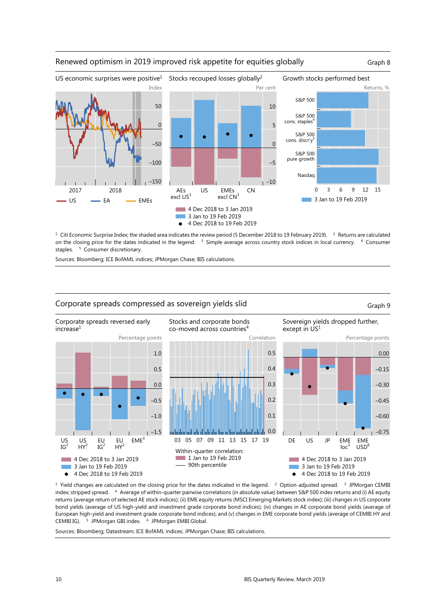

## Renewed optimism in 2019 improved risk appetite for equities globally Graph 8

 $1$  Citi Economic Surprise Index; the shaded area indicates the review period (5 December 2018 to 19 February 2019).  $2$  Returns are calculated on the closing price for the dates indicated in the legend. <sup>3</sup> Simple average across country stock indices in local currency. <sup>4</sup> Consumer staples. <sup>5</sup> Consumer discretionary.

Sources: Bloomberg; ICE BofAML indices; JPMorgan Chase; BIS calculations.



<sup>1</sup> Yield changes are calculated on the closing price for the dates indicated in the legend. <sup>2</sup> Option-adjusted spread. <sup>3</sup> JPMorgan CEMBI index; stripped spread. <sup>4</sup> Average of within-quarter pairwise correlations (in absolute value) between S&P 500 index returns and (i) AE equity returns (average return of selected AE stock indices); (ii) EME equity returns (MSCI Emerging Markets stock index); (iii) changes in US corporate bond yields (average of US high-yield and investment grade corporate bond indices); (iv) changes in AE corporate bond yields (average of European high-yield and investment grade corporate bond indices); and (v) changes in EME corporate bond yields (average of CEMBI HY and CEMBI IG). <sup>5</sup> JPMorgan GBI index. <sup>6</sup> JPMorgan EMBI Global.

Sources: Bloomberg; Datastream; ICE BofAML indices; JPMorgan Chase; BIS calculations.

Corporate spreads compressed as sovereign yields slid Graph 9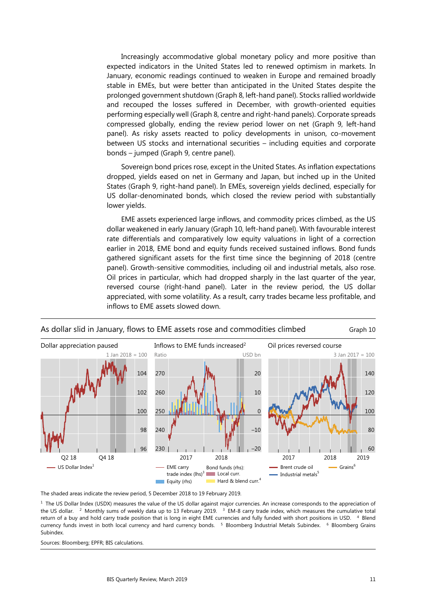Increasingly accommodative global monetary policy and more positive than expected indicators in the United States led to renewed optimism in markets. In January, economic readings continued to weaken in Europe and remained broadly stable in EMEs, but were better than anticipated in the United States despite the prolonged government shutdown (Graph 8, left-hand panel). Stocks rallied worldwide and recouped the losses suffered in December, with growth-oriented equities performing especially well (Graph 8, centre and right-hand panels). Corporate spreads compressed globally, ending the review period lower on net (Graph 9, left-hand panel). As risky assets reacted to policy developments in unison, co-movement between US stocks and international securities – including equities and corporate bonds – jumped (Graph 9, centre panel).

Sovereign bond prices rose, except in the United States. As inflation expectations dropped, yields eased on net in Germany and Japan, but inched up in the United States (Graph 9, right-hand panel). In EMEs, sovereign yields declined, especially for US dollar-denominated bonds, which closed the review period with substantially lower yields.

EME assets experienced large inflows, and commodity prices climbed, as the US dollar weakened in early January (Graph 10, left-hand panel). With favourable interest rate differentials and comparatively low equity valuations in light of a correction earlier in 2018, EME bond and equity funds received sustained inflows. Bond funds gathered significant assets for the first time since the beginning of 2018 (centre panel). Growth-sensitive commodities, including oil and industrial metals, also rose. Oil prices in particular, which had dropped sharply in the last quarter of the year, reversed course (right-hand panel). Later in the review period, the US dollar appreciated, with some volatility. As a result, carry trades became less profitable, and inflows to EME assets slowed down.



# As dollar slid in January, flows to EME assets rose and commodities climbed Graph 10

The shaded areas indicate the review period, 5 December 2018 to 19 February 2019.

<sup>1</sup> The US Dollar Index (USDX) measures the value of the US dollar against major currencies. An increase corresponds to the appreciation of the US dollar. <sup>2</sup> Monthly sums of weekly data up to 13 February 2019. <sup>3</sup> EM-8 carry trade index, which measures the cumulative total return of a buy and hold carry trade position that is long in eight EME currencies and fully funded with short positions in USD. 4 Blend currency funds invest in both local currency and hard currency bonds. <sup>5</sup> Bloomberg Industrial Metals Subindex. <sup>6</sup> Bloomberg Grains Subindex.

Sources: Bloomberg; EPFR; BIS calculations.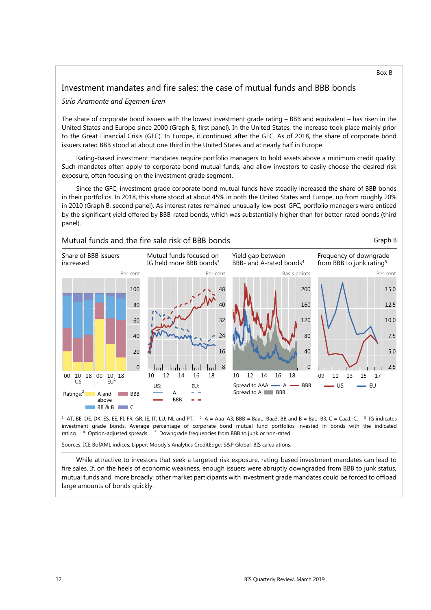## Investment mandates and fire sales: the case of mutual funds and BBB bonds

#### *Sirio Aramonte and Egemen Eren*

The share of corporate bond issuers with the lowest investment grade rating – BBB and equivalent – has risen in the United States and Europe since 2000 (Graph B, first panel). In the United States, the increase took place mainly prior to the Great Financial Crisis (GFC). In Europe, it continued after the GFC. As of 2018, the share of corporate bond issuers rated BBB stood at about one third in the United States and at nearly half in Europe.

Rating-based investment mandates require portfolio managers to hold assets above a minimum credit quality. Such mandates often apply to corporate bond mutual funds, and allow investors to easily choose the desired risk exposure, often focusing on the investment grade segment.

Since the GFC, investment grade corporate bond mutual funds have steadily increased the share of BBB bonds in their portfolios. In 2018, this share stood at about 45% in both the United States and Europe, up from roughly 20% in 2010 (Graph B, second panel). As interest rates remained unusually low post-GFC, portfolio managers were enticed by the significant yield offered by BBB-rated bonds, which was substantially higher than for better-rated bonds (third panel).



<sup>1</sup> AT, BE, DE, DK, ES, EE, FI, FR, GR, IE, IT, LU, NL and PT. <sup>2</sup> A = Aaa-A3; BBB = Baa1-Baa3; BB and B = Ba1-B3; C = Caa1-C. <sup>3</sup> IG indicates investment grade bonds. Average percentage of corporate bond mutual fund portfolios invested in bonds with the indicated rating. 4 Option-adjusted spreads. 5 Downgrade frequencies from BBB to junk or non-rated.

Sources: ICE BofAML indices; Lipper; Moody's Analytics CreditEdge; S&P Global; BIS calculations.

While attractive to investors that seek a targeted risk exposure, rating-based investment mandates can lead to fire sales. If, on the heels of economic weakness, enough issuers were abruptly downgraded from BBB to junk status, mutual funds and, more broadly, other market participants with investment grade mandates could be forced to offload large amounts of bonds quickly.

Box B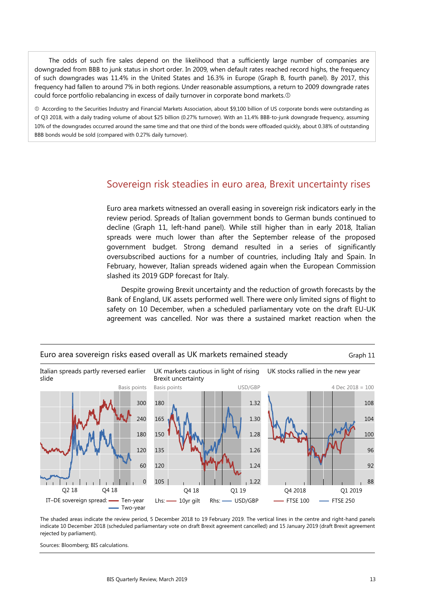The odds of such fire sales depend on the likelihood that a sufficiently large number of companies are downgraded from BBB to junk status in short order. In 2009, when default rates reached record highs, the frequency of such downgrades was 11.4% in the United States and 16.3% in Europe (Graph B, fourth panel). By 2017, this frequency had fallen to around 7% in both regions. Under reasonable assumptions, a return to 2009 downgrade rates could force portfolio rebalancing in excess of daily turnover in corporate bond markets.

 According to the Securities Industry and Financial Markets Association, about \$9,100 billion of US corporate bonds were outstanding as of Q3 2018, with a daily trading volume of about \$25 billion (0.27% turnover). With an 11.4% BBB-to-junk downgrade frequency, assuming 10% of the downgrades occurred around the same time and that one third of the bonds were offloaded quickly, about 0.38% of outstanding BBB bonds would be sold (compared with 0.27% daily turnover).

# Sovereign risk steadies in euro area, Brexit uncertainty rises

Euro area markets witnessed an overall easing in sovereign risk indicators early in the review period. Spreads of Italian government bonds to German bunds continued to decline (Graph 11, left-hand panel). While still higher than in early 2018, Italian spreads were much lower than after the September release of the proposed government budget. Strong demand resulted in a series of significantly oversubscribed auctions for a number of countries, including Italy and Spain. In February, however, Italian spreads widened again when the European Commission slashed its 2019 GDP forecast for Italy.

Despite growing Brexit uncertainty and the reduction of growth forecasts by the Bank of England, UK assets performed well. There were only limited signs of flight to safety on 10 December, when a scheduled parliamentary vote on the draft EU-UK agreement was cancelled. Nor was there a sustained market reaction when the



The shaded areas indicate the review period, 5 December 2018 to 19 February 2019. The vertical lines in the centre and right-hand panels indicate 10 December 2018 (scheduled parliamentary vote on draft Brexit agreement cancelled) and 15 January 2019 (draft Brexit agreement rejected by parliament).

Sources: Bloomberg; BIS calculations.